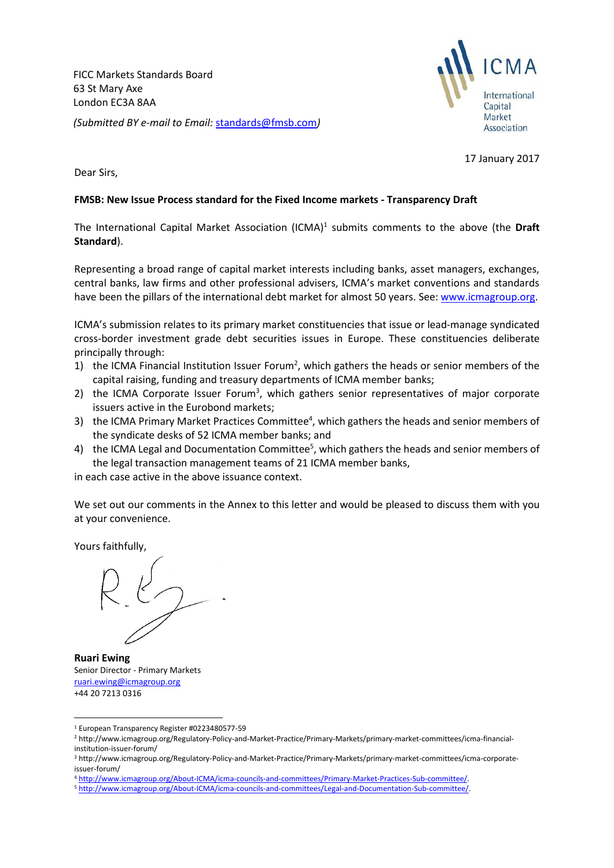FICC Markets Standards Board 63 St Mary Axe London EC3A 8AA *(Submitted BY e-mail to Email:* [standards@fmsb.com](mailto:standards@fmsb.com)*)*



17 January 2017

Dear Sirs,

## **FMSB: New Issue Process standard for the Fixed Income markets - Transparency Draft**

The International Capital Market Association (ICMA) 1 submits comments to the above (the **Draft Standard**).

Representing a broad range of capital market interests including banks, asset managers, exchanges, central banks, law firms and other professional advisers, ICMA's market conventions and standards have been the pillars of the international debt market for almost 50 years. See[: www.icmagroup.org.](http://www.icmagroup.org/)

ICMA's submission relates to its primary market constituencies that issue or lead-manage syndicated cross-border investment grade debt securities issues in Europe. These constituencies deliberate principally through:

- 1) the ICMA Financial Institution Issuer Forum<sup>2</sup>, which gathers the heads or senior members of the capital raising, funding and treasury departments of ICMA member banks;
- 2) the ICMA Corporate Issuer Forum<sup>3</sup>, which gathers senior representatives of major corporate issuers active in the Eurobond markets;
- 3) the ICMA Primary Market Practices Committee<sup>4</sup>, which gathers the heads and senior members of the syndicate desks of 52 ICMA member banks; and
- 4) the ICMA Legal and Documentation Committee<sup>5</sup>, which gathers the heads and senior members of the legal transaction management teams of 21 ICMA member banks,

in each case active in the above issuance context.

We set out our comments in the Annex to this letter and would be pleased to discuss them with you at your convenience.

Yours faithfully,

**.** 

**Ruari Ewing** Senior Director - Primary Markets [ruari.ewing@icmagroup.org](mailto:ruari.ewing@icmagroup.org) +44 20 7213 0316

<sup>1</sup> European Transparency Register #0223480577-59

<sup>2</sup> http://www.icmagroup.org/Regulatory-Policy-and-Market-Practice/Primary-Markets/primary-market-committees/icma-financialinstitution-issuer-forum/

<sup>3</sup> http://www.icmagroup.org/Regulatory-Policy-and-Market-Practice/Primary-Markets/primary-market-committees/icma-corporateissuer-forum/

<sup>4</sup> [http://www.icmagroup.org/About-ICMA/icma-councils-and-committees/Primary-Market-Practices-Sub-committee/.](http://www.icmagroup.org/About-ICMA/icma-councils-and-committees/Primary-Market-Practices-Sub-committee/)

<sup>5</sup> [http://www.icmagroup.org/About-ICMA/icma-councils-and-committees/Legal-and-Documentation-Sub-committee/.](http://www.icmagroup.org/About-ICMA/icma-councils-and-committees/Legal-and-Documentation-Sub-committee/)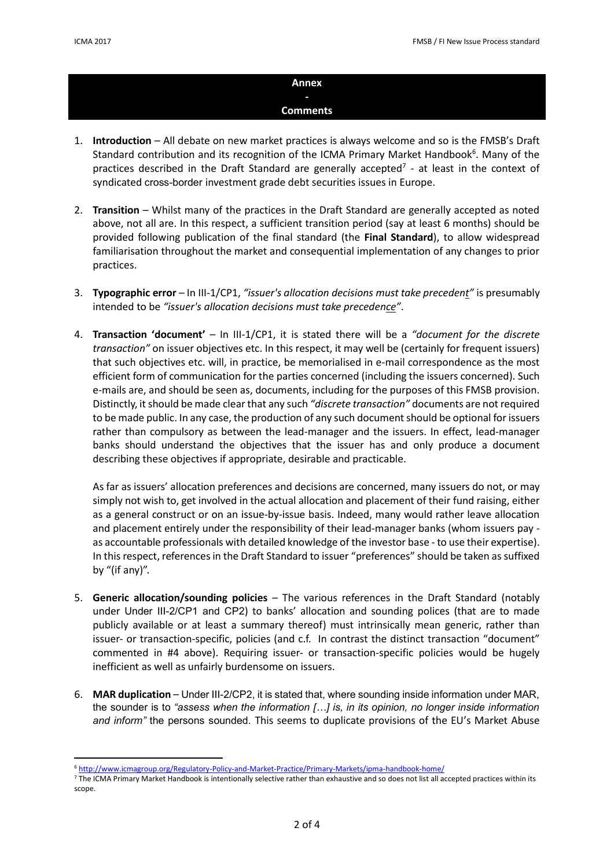1

## **Annex - Comments**

- 1. **Introduction** All debate on new market practices is always welcome and so is the FMSB's Draft Standard contribution and its recognition of the ICMA Primary Market Handbook<sup>6</sup>. Many of the practices described in the Draft Standard are generally accepted<sup>7</sup> - at least in the context of syndicated cross-border investment grade debt securities issues in Europe.
- 2. **Transition** Whilst many of the practices in the Draft Standard are generally accepted as noted above, not all are. In this respect, a sufficient transition period (say at least 6 months) should be provided following publication of the final standard (the **Final Standard**), to allow widespread familiarisation throughout the market and consequential implementation of any changes to prior practices.
- 3. **Typographic error** In III-1/CP1, *"issuer's allocation decisions must take precedent"* is presumably intended to be *"issuer's allocation decisions must take precedence"*.
- 4. **Transaction 'document'** In III-1/CP1, it is stated there will be a *"document for the discrete transaction"* on issuer objectives etc. In this respect, it may well be (certainly for frequent issuers) that such objectives etc. will, in practice, be memorialised in e-mail correspondence as the most efficient form of communication for the parties concerned (including the issuers concerned). Such e-mails are, and should be seen as, documents, including for the purposes of this FMSB provision. Distinctly, it should be made clearthat any such *"discrete transaction"* documents are not required to be made public. In any case, the production of any such document should be optional for issuers rather than compulsory as between the lead-manager and the issuers. In effect, lead-manager banks should understand the objectives that the issuer has and only produce a document describing these objectives if appropriate, desirable and practicable.

As far as issuers' allocation preferences and decisions are concerned, many issuers do not, or may simply not wish to, get involved in the actual allocation and placement of their fund raising, either as a general construct or on an issue-by-issue basis. Indeed, many would rather leave allocation and placement entirely under the responsibility of their lead-manager banks (whom issuers pay as accountable professionals with detailed knowledge of the investor base - to use their expertise). In this respect, references in the Draft Standard to issuer "preferences" should be taken as suffixed by "(if any)".

- 5. **Generic allocation/sounding policies** The various references in the Draft Standard (notably under Under III-2/CP1 and CP2) to banks' allocation and sounding polices (that are to made publicly available or at least a summary thereof) must intrinsically mean generic, rather than issuer- or transaction-specific, policies (and c.f. In contrast the distinct transaction "document" commented in #4 above). Requiring issuer- or transaction-specific policies would be hugely inefficient as well as unfairly burdensome on issuers.
- 6. **MAR duplication** Under III-2/CP2, it is stated that, where sounding inside information under MAR, the sounder is to *"assess when the information […] is, in its opinion, no longer inside information and inform"* the persons sounded. This seems to duplicate provisions of the EU's Market Abuse

<sup>6</sup> <http://www.icmagroup.org/Regulatory-Policy-and-Market-Practice/Primary-Markets/ipma-handbook-home/>

<sup>&</sup>lt;sup>7</sup> The ICMA Primary Market Handbook is intentionally selective rather than exhaustive and so does not list all accepted practices within its scope.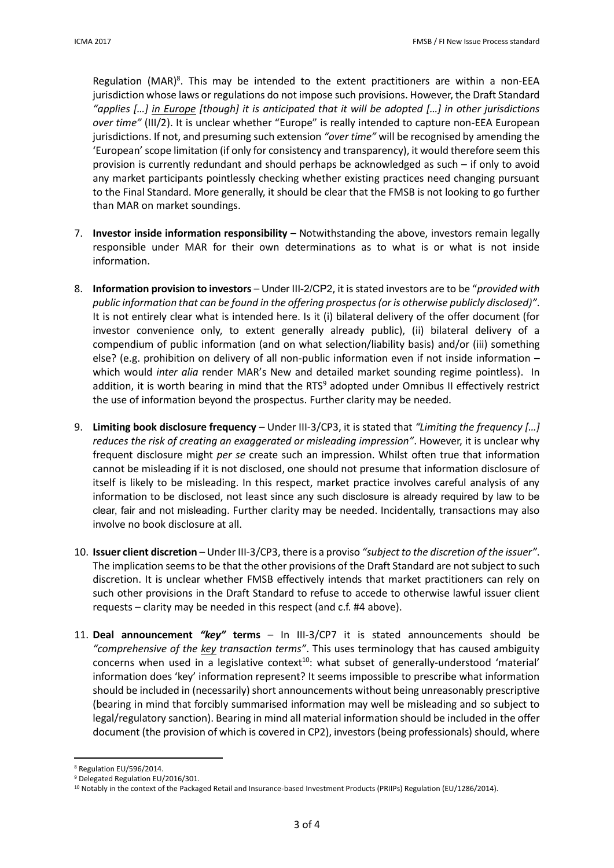Regulation (MAR)<sup>8</sup>. This may be intended to the extent practitioners are within a non-EEA jurisdiction whose laws or regulations do not impose such provisions. However, the Draft Standard *"applies […] in Europe [though] it is anticipated that it will be adopted […] in other jurisdictions over time"* (III/2). It is unclear whether "Europe" is really intended to capture non-EEA European jurisdictions. If not, and presuming such extension *"over time"* will be recognised by amending the 'European'scope limitation (if only for consistency and transparency), it would therefore seem this provision is currently redundant and should perhaps be acknowledged as such – if only to avoid any market participants pointlessly checking whether existing practices need changing pursuant to the Final Standard. More generally, it should be clear that the FMSB is not looking to go further than MAR on market soundings.

- 7. **Investor inside information responsibility** Notwithstanding the above, investors remain legally responsible under MAR for their own determinations as to what is or what is not inside information.
- 8. **Information provision to investors** Under III-2/CP2, it is stated investors are to be "*provided with public information that can be found in the offering prospectus (or is otherwise publicly disclosed)"*. It is not entirely clear what is intended here. Is it (i) bilateral delivery of the offer document (for investor convenience only, to extent generally already public), (ii) bilateral delivery of a compendium of public information (and on what selection/liability basis) and/or (iii) something else? (e.g. prohibition on delivery of all non-public information even if not inside information – which would *inter alia* render MAR's New and detailed market sounding regime pointless). In addition, it is worth bearing in mind that the RTS<sup>9</sup> adopted under Omnibus II effectively restrict the use of information beyond the prospectus. Further clarity may be needed.
- 9. **Limiting book disclosure frequency** Under III-3/CP3, it is stated that *"Limiting the frequency […] reduces the risk of creating an exaggerated or misleading impression"*. However, it is unclear why frequent disclosure might *per se* create such an impression. Whilst often true that information cannot be misleading if it is not disclosed, one should not presume that information disclosure of itself is likely to be misleading. In this respect, market practice involves careful analysis of any information to be disclosed, not least since any such disclosure is already required by law to be clear, fair and not misleading. Further clarity may be needed. Incidentally, transactions may also involve no book disclosure at all.
- 10. **Issuer client discretion** Under III-3/CP3, there is a proviso *"subject to the discretion of the issuer"*. The implication seems to be that the other provisions of the Draft Standard are not subject to such discretion. It is unclear whether FMSB effectively intends that market practitioners can rely on such other provisions in the Draft Standard to refuse to accede to otherwise lawful issuer client requests – clarity may be needed in this respect (and c.f. #4 above).
- 11. **Deal announcement** *"key"* **terms** In III-3/CP7 it is stated announcements should be *"comprehensive of the key transaction terms"*. This uses terminology that has caused ambiguity concerns when used in a legislative context<sup>10</sup>: what subset of generally-understood 'material' information does 'key' information represent? It seems impossible to prescribe what information should be included in (necessarily) short announcements without being unreasonably prescriptive (bearing in mind that forcibly summarised information may well be misleading and so subject to legal/regulatory sanction). Bearing in mind all material information should be included in the offer document (the provision of which is covered in CP2), investors (being professionals) should, where

1

<sup>8</sup> Regulation EU/596/2014.

<sup>9</sup> Delegated Regulation EU/2016/301.

<sup>&</sup>lt;sup>10</sup> Notably in the context of the Packaged Retail and Insurance-based Investment Products (PRIIPs) Regulation (EU/1286/2014).